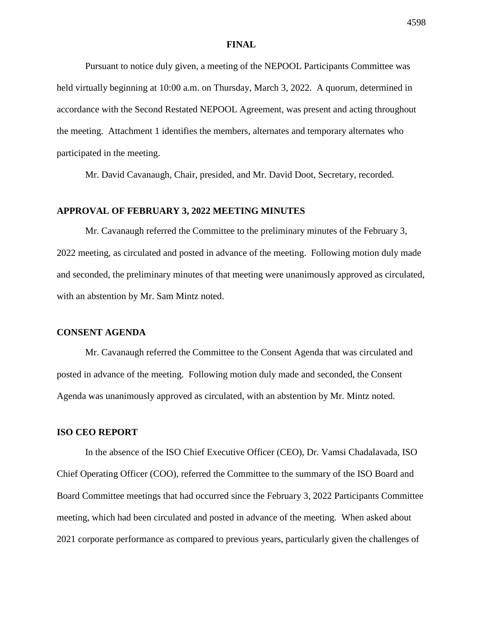#### **FINAL**

Pursuant to notice duly given, a meeting of the NEPOOL Participants Committee was held virtually beginning at 10:00 a.m. on Thursday, March 3, 2022. A quorum, determined in accordance with the Second Restated NEPOOL Agreement, was present and acting throughout the meeting. Attachment 1 identifies the members, alternates and temporary alternates who participated in the meeting.

Mr. David Cavanaugh, Chair, presided, and Mr. David Doot, Secretary, recorded.

# **APPROVAL OF FEBRUARY 3, 2022 MEETING MINUTES**

Mr. Cavanaugh referred the Committee to the preliminary minutes of the February 3, 2022 meeting, as circulated and posted in advance of the meeting. Following motion duly made and seconded, the preliminary minutes of that meeting were unanimously approved as circulated, with an abstention by Mr. Sam Mintz noted.

### **CONSENT AGENDA**

Mr. Cavanaugh referred the Committee to the Consent Agenda that was circulated and posted in advance of the meeting. Following motion duly made and seconded, the Consent Agenda was unanimously approved as circulated, with an abstention by Mr. Mintz noted.

## **ISO CEO REPORT**

In the absence of the ISO Chief Executive Officer (CEO), Dr. Vamsi Chadalavada, ISO Chief Operating Officer (COO), referred the Committee to the summary of the ISO Board and Board Committee meetings that had occurred since the February 3, 2022 Participants Committee meeting, which had been circulated and posted in advance of the meeting. When asked about 2021 corporate performance as compared to previous years, particularly given the challenges of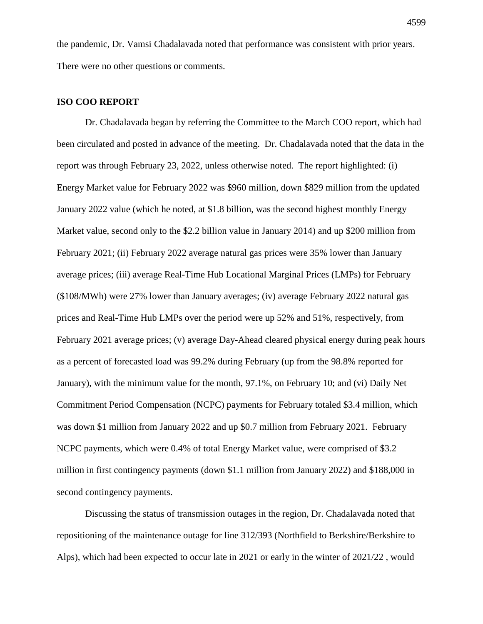the pandemic, Dr. Vamsi Chadalavada noted that performance was consistent with prior years. There were no other questions or comments.

## **ISO COO REPORT**

Dr. Chadalavada began by referring the Committee to the March COO report, which had been circulated and posted in advance of the meeting. Dr. Chadalavada noted that the data in the report was through February 23, 2022, unless otherwise noted. The report highlighted: (i) Energy Market value for February 2022 was \$960 million, down \$829 million from the updated January 2022 value (which he noted, at \$1.8 billion, was the second highest monthly Energy Market value, second only to the \$2.2 billion value in January 2014) and up \$200 million from February 2021; (ii) February 2022 average natural gas prices were 35% lower than January average prices; (iii) average Real-Time Hub Locational Marginal Prices (LMPs) for February (\$108/MWh) were 27% lower than January averages; (iv) average February 2022 natural gas prices and Real-Time Hub LMPs over the period were up 52% and 51%, respectively, from February 2021 average prices; (v) average Day-Ahead cleared physical energy during peak hours as a percent of forecasted load was 99.2% during February (up from the 98.8% reported for January), with the minimum value for the month, 97.1%, on February 10; and (vi) Daily Net Commitment Period Compensation (NCPC) payments for February totaled \$3.4 million, which was down \$1 million from January 2022 and up \$0.7 million from February 2021. February NCPC payments, which were 0.4% of total Energy Market value, were comprised of \$3.2 million in first contingency payments (down \$1.1 million from January 2022) and \$188,000 in second contingency payments.

Discussing the status of transmission outages in the region, Dr. Chadalavada noted that repositioning of the maintenance outage for line 312/393 (Northfield to Berkshire/Berkshire to Alps), which had been expected to occur late in 2021 or early in the winter of 2021/22 , would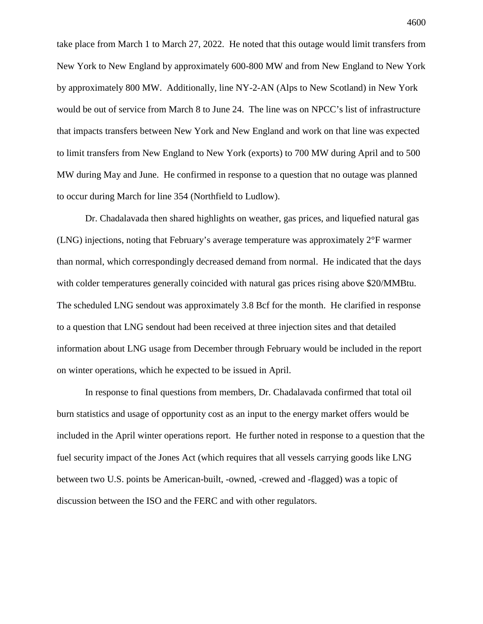take place from March 1 to March 27, 2022. He noted that this outage would limit transfers from New York to New England by approximately 600-800 MW and from New England to New York by approximately 800 MW. Additionally, line NY-2-AN (Alps to New Scotland) in New York would be out of service from March 8 to June 24. The line was on NPCC's list of infrastructure that impacts transfers between New York and New England and work on that line was expected to limit transfers from New England to New York (exports) to 700 MW during April and to 500 MW during May and June. He confirmed in response to a question that no outage was planned to occur during March for line 354 (Northfield to Ludlow).

Dr. Chadalavada then shared highlights on weather, gas prices, and liquefied natural gas (LNG) injections, noting that February's average temperature was approximately 2°F warmer than normal, which correspondingly decreased demand from normal. He indicated that the days with colder temperatures generally coincided with natural gas prices rising above \$20/MMBtu. The scheduled LNG sendout was approximately 3.8 Bcf for the month. He clarified in response to a question that LNG sendout had been received at three injection sites and that detailed information about LNG usage from December through February would be included in the report on winter operations, which he expected to be issued in April.

In response to final questions from members, Dr. Chadalavada confirmed that total oil burn statistics and usage of opportunity cost as an input to the energy market offers would be included in the April winter operations report. He further noted in response to a question that the fuel security impact of the Jones Act (which requires that all vessels carrying goods like LNG between two U.S. points be American-built, -owned, -crewed and -flagged) was a topic of discussion between the ISO and the FERC and with other regulators.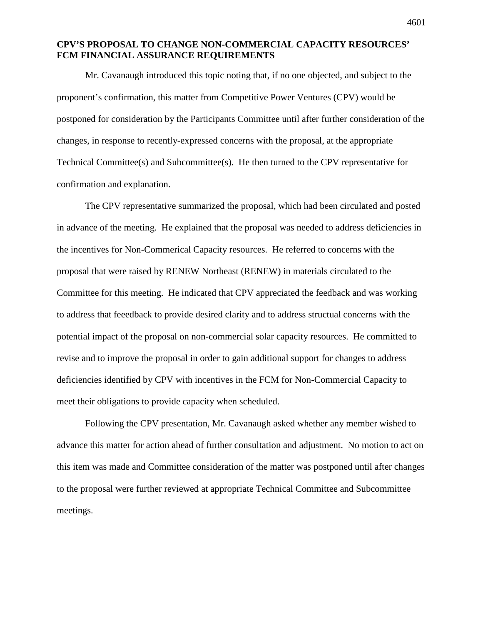## **CPV'S PROPOSAL TO CHANGE NON-COMMERCIAL CAPACITY RESOURCES' FCM FINANCIAL ASSURANCE REQUIREMENTS**

Mr. Cavanaugh introduced this topic noting that, if no one objected, and subject to the proponent's confirmation, this matter from Competitive Power Ventures (CPV) would be postponed for consideration by the Participants Committee until after further consideration of the changes, in response to recently-expressed concerns with the proposal, at the appropriate Technical Committee(s) and Subcommittee(s). He then turned to the CPV representative for confirmation and explanation.

The CPV representative summarized the proposal, which had been circulated and posted in advance of the meeting. He explained that the proposal was needed to address deficiencies in the incentives for Non-Commerical Capacity resources. He referred to concerns with the proposal that were raised by RENEW Northeast (RENEW) in materials circulated to the Committee for this meeting. He indicated that CPV appreciated the feedback and was working to address that feeedback to provide desired clarity and to address structual concerns with the potential impact of the proposal on non-commercial solar capacity resources. He committed to revise and to improve the proposal in order to gain additional support for changes to address deficiencies identified by CPV with incentives in the FCM for Non-Commercial Capacity to meet their obligations to provide capacity when scheduled.

Following the CPV presentation, Mr. Cavanaugh asked whether any member wished to advance this matter for action ahead of further consultation and adjustment. No motion to act on this item was made and Committee consideration of the matter was postponed until after changes to the proposal were further reviewed at appropriate Technical Committee and Subcommittee meetings.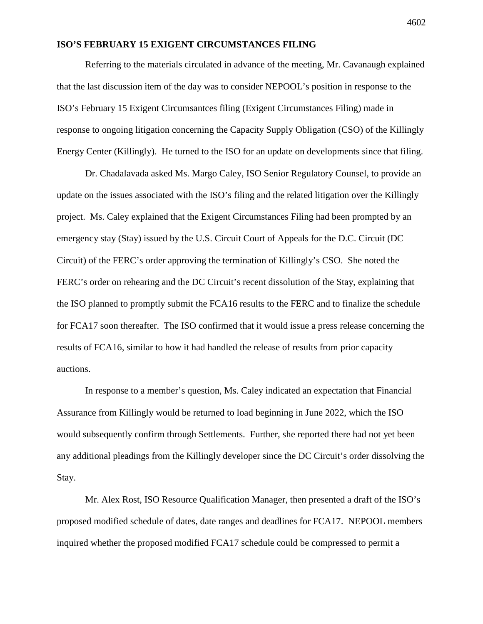## **ISO'S FEBRUARY 15 EXIGENT CIRCUMSTANCES FILING**

Referring to the materials circulated in advance of the meeting, Mr. Cavanaugh explained that the last discussion item of the day was to consider NEPOOL's position in response to the ISO's February 15 Exigent Circumsantces filing (Exigent Circumstances Filing) made in response to ongoing litigation concerning the Capacity Supply Obligation (CSO) of the Killingly Energy Center (Killingly). He turned to the ISO for an update on developments since that filing.

Dr. Chadalavada asked Ms. Margo Caley, ISO Senior Regulatory Counsel, to provide an update on the issues associated with the ISO's filing and the related litigation over the Killingly project. Ms. Caley explained that the Exigent Circumstances Filing had been prompted by an emergency stay (Stay) issued by the U.S. Circuit Court of Appeals for the D.C. Circuit (DC Circuit) of the FERC's order approving the termination of Killingly's CSO. She noted the FERC's order on rehearing and the DC Circuit's recent dissolution of the Stay, explaining that the ISO planned to promptly submit the FCA16 results to the FERC and to finalize the schedule for FCA17 soon thereafter. The ISO confirmed that it would issue a press release concerning the results of FCA16, similar to how it had handled the release of results from prior capacity auctions.

In response to a member's question, Ms. Caley indicated an expectation that Financial Assurance from Killingly would be returned to load beginning in June 2022, which the ISO would subsequently confirm through Settlements. Further, she reported there had not yet been any additional pleadings from the Killingly developer since the DC Circuit's order dissolving the Stay.

Mr. Alex Rost, ISO Resource Qualification Manager, then presented a draft of the ISO's proposed modified schedule of dates, date ranges and deadlines for FCA17. NEPOOL members inquired whether the proposed modified FCA17 schedule could be compressed to permit a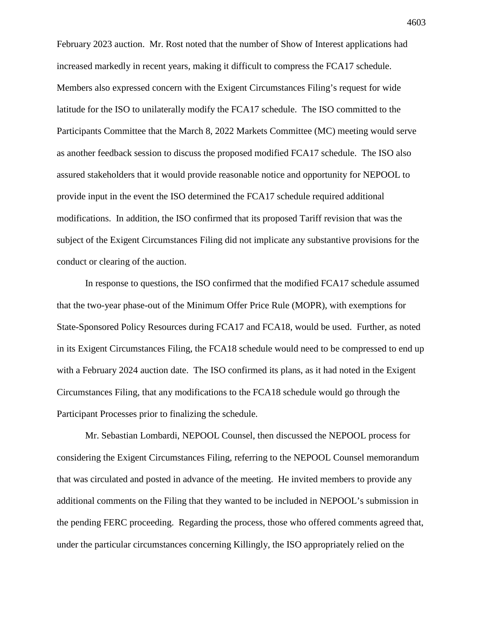February 2023 auction. Mr. Rost noted that the number of Show of Interest applications had increased markedly in recent years, making it difficult to compress the FCA17 schedule. Members also expressed concern with the Exigent Circumstances Filing's request for wide latitude for the ISO to unilaterally modify the FCA17 schedule. The ISO committed to the Participants Committee that the March 8, 2022 Markets Committee (MC) meeting would serve as another feedback session to discuss the proposed modified FCA17 schedule. The ISO also assured stakeholders that it would provide reasonable notice and opportunity for NEPOOL to provide input in the event the ISO determined the FCA17 schedule required additional modifications. In addition, the ISO confirmed that its proposed Tariff revision that was the subject of the Exigent Circumstances Filing did not implicate any substantive provisions for the conduct or clearing of the auction.

In response to questions, the ISO confirmed that the modified FCA17 schedule assumed that the two-year phase-out of the Minimum Offer Price Rule (MOPR), with exemptions for State-Sponsored Policy Resources during FCA17 and FCA18, would be used. Further, as noted in its Exigent Circumstances Filing, the FCA18 schedule would need to be compressed to end up with a February 2024 auction date. The ISO confirmed its plans, as it had noted in the Exigent Circumstances Filing, that any modifications to the FCA18 schedule would go through the Participant Processes prior to finalizing the schedule.

Mr. Sebastian Lombardi, NEPOOL Counsel, then discussed the NEPOOL process for considering the Exigent Circumstances Filing, referring to the NEPOOL Counsel memorandum that was circulated and posted in advance of the meeting. He invited members to provide any additional comments on the Filing that they wanted to be included in NEPOOL's submission in the pending FERC proceeding. Regarding the process, those who offered comments agreed that, under the particular circumstances concerning Killingly, the ISO appropriately relied on the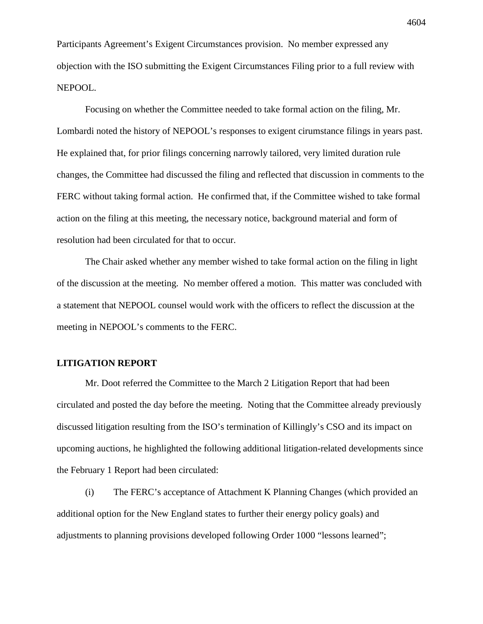Participants Agreement's Exigent Circumstances provision. No member expressed any objection with the ISO submitting the Exigent Circumstances Filing prior to a full review with NEPOOL.

Focusing on whether the Committee needed to take formal action on the filing, Mr. Lombardi noted the history of NEPOOL's responses to exigent cirumstance filings in years past. He explained that, for prior filings concerning narrowly tailored, very limited duration rule changes, the Committee had discussed the filing and reflected that discussion in comments to the FERC without taking formal action. He confirmed that, if the Committee wished to take formal action on the filing at this meeting, the necessary notice, background material and form of resolution had been circulated for that to occur.

The Chair asked whether any member wished to take formal action on the filing in light of the discussion at the meeting. No member offered a motion. This matter was concluded with a statement that NEPOOL counsel would work with the officers to reflect the discussion at the meeting in NEPOOL's comments to the FERC.

# **LITIGATION REPORT**

Mr. Doot referred the Committee to the March 2 Litigation Report that had been circulated and posted the day before the meeting. Noting that the Committee already previously discussed litigation resulting from the ISO's termination of Killingly's CSO and its impact on upcoming auctions, he highlighted the following additional litigation-related developments since the February 1 Report had been circulated:

(i) The FERC's acceptance of Attachment K Planning Changes (which provided an additional option for the New England states to further their energy policy goals) and adjustments to planning provisions developed following Order 1000 "lessons learned";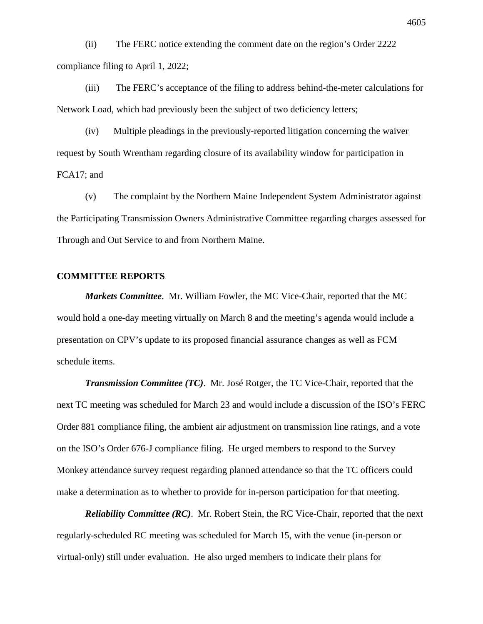(ii) The FERC notice extending the comment date on the region's Order 2222 compliance filing to April 1, 2022;

(iii) The FERC's acceptance of the filing to address behind-the-meter calculations for Network Load, which had previously been the subject of two deficiency letters;

(iv) Multiple pleadings in the previously-reported litigation concerning the waiver request by South Wrentham regarding closure of its availability window for participation in FCA17; and

(v) The complaint by the Northern Maine Independent System Administrator against the Participating Transmission Owners Administrative Committee regarding charges assessed for Through and Out Service to and from Northern Maine.

### **COMMITTEE REPORTS**

*Markets Committee*. Mr. William Fowler, the MC Vice-Chair, reported that the MC would hold a one-day meeting virtually on March 8 and the meeting's agenda would include a presentation on CPV's update to its proposed financial assurance changes as well as FCM schedule items.

*Transmission Committee (TC)*. Mr. José Rotger, the TC Vice-Chair, reported that the next TC meeting was scheduled for March 23 and would include a discussion of the ISO's FERC Order 881 compliance filing, the ambient air adjustment on transmission line ratings, and a vote on the ISO's Order 676-J compliance filing. He urged members to respond to the Survey Monkey attendance survey request regarding planned attendance so that the TC officers could make a determination as to whether to provide for in-person participation for that meeting.

*Reliability Committee (RC)*. Mr. Robert Stein, the RC Vice-Chair, reported that the next regularly-scheduled RC meeting was scheduled for March 15, with the venue (in-person or virtual-only) still under evaluation. He also urged members to indicate their plans for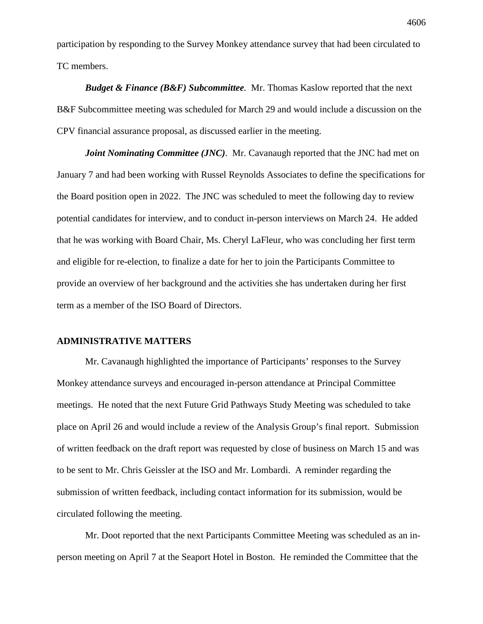participation by responding to the Survey Monkey attendance survey that had been circulated to TC members.

*Budget & Finance (B&F) Subcommittee.* Mr. Thomas Kaslow reported that the next B&F Subcommittee meeting was scheduled for March 29 and would include a discussion on the CPV financial assurance proposal, as discussed earlier in the meeting.

*Joint Nominating Committee (JNC).* Mr. Cavanaugh reported that the JNC had met on January 7 and had been working with Russel Reynolds Associates to define the specifications for the Board position open in 2022. The JNC was scheduled to meet the following day to review potential candidates for interview, and to conduct in-person interviews on March 24. He added that he was working with Board Chair, Ms. Cheryl LaFleur, who was concluding her first term and eligible for re-election, to finalize a date for her to join the Participants Committee to provide an overview of her background and the activities she has undertaken during her first term as a member of the ISO Board of Directors.

### **ADMINISTRATIVE MATTERS**

Mr. Cavanaugh highlighted the importance of Participants' responses to the Survey Monkey attendance surveys and encouraged in-person attendance at Principal Committee meetings. He noted that the next Future Grid Pathways Study Meeting was scheduled to take place on April 26 and would include a review of the Analysis Group's final report. Submission of written feedback on the draft report was requested by close of business on March 15 and was to be sent to Mr. Chris Geissler at the ISO and Mr. Lombardi. A reminder regarding the submission of written feedback, including contact information for its submission, would be circulated following the meeting.

Mr. Doot reported that the next Participants Committee Meeting was scheduled as an inperson meeting on April 7 at the Seaport Hotel in Boston. He reminded the Committee that the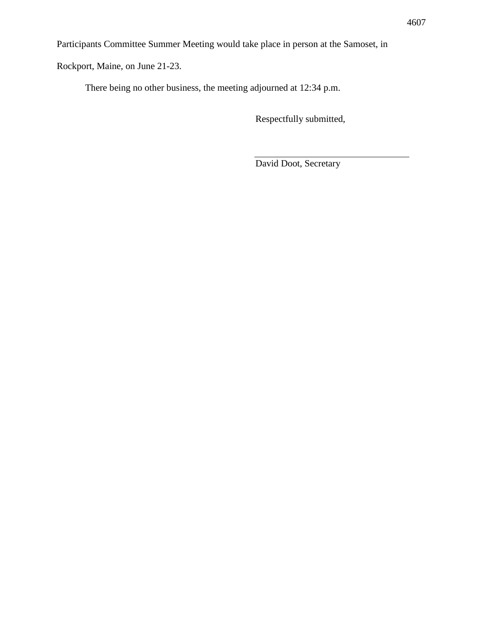Participants Committee Summer Meeting would take place in person at the Samoset, in

Rockport, Maine, on June 21-23.

There being no other business, the meeting adjourned at 12:34 p.m.

Respectfully submitted,

David Doot, Secretary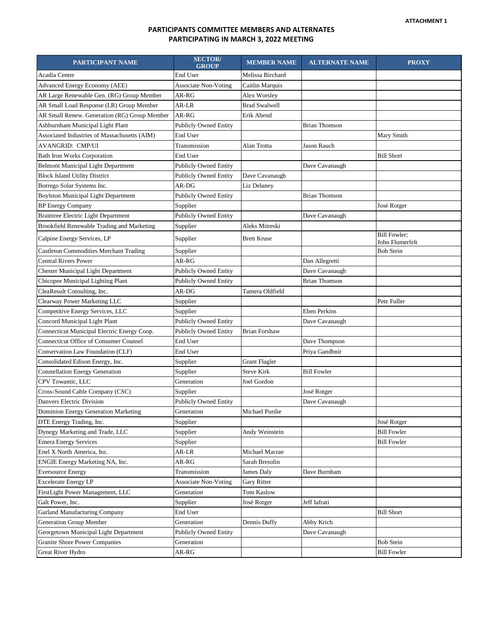### **PARTICIPANTS COMMITTEE MEMBERS AND ALTERNATES PARTICIPATING IN MARCH 3, 2022 MEETING**

| PARTICIPANT NAME                              | <b>SECTOR</b><br><b>GROUP</b> | <b>MEMBER NAME</b>   | <b>ALTERNATE NAME</b> | <b>PROXY</b>                           |
|-----------------------------------------------|-------------------------------|----------------------|-----------------------|----------------------------------------|
| Acadia Center                                 | End User                      | Melissa Birchard     |                       |                                        |
| Advanced Energy Economy (AEE)                 | <b>Associate Non-Voting</b>   | Caitlin Marquis      |                       |                                        |
| AR Large Renewable Gen. (RG) Group Member     | AR-RG                         | Alex Worsley         |                       |                                        |
| AR Small Load Response (LR) Group Member      | AR-LR                         | <b>Brad Swalwell</b> |                       |                                        |
| AR Small Renew. Generation (RG) Group Member  | AR-RG                         | Erik Abend           |                       |                                        |
| Ashburnham Municipal Light Plant              | <b>Publicly Owned Entity</b>  |                      | <b>Brian Thomson</b>  |                                        |
| Associated Industries of Massachusetts (AIM)  | End User                      |                      |                       | Mary Smith                             |
| AVANGRID: CMP/UI                              | Transmission                  | Alan Trotta          | <b>Jason Rauch</b>    |                                        |
| <b>Bath Iron Works Corporation</b>            | End User                      |                      |                       | <b>Bill Short</b>                      |
| <b>Belmont Municipal Light Department</b>     | <b>Publicly Owned Entity</b>  |                      | Dave Cavanaugh        |                                        |
| <b>Block Island Utility District</b>          | <b>Publicly Owned Entity</b>  | Dave Cavanaugh       |                       |                                        |
| Borrego Solar Systems Inc.                    | AR-DG                         | Liz Delaney          |                       |                                        |
| <b>Boylston Municipal Light Department</b>    | <b>Publicly Owned Entity</b>  |                      | <b>Brian Thomson</b>  |                                        |
| <b>BP</b> Energy Company                      | Supplier                      |                      |                       | José Rotger                            |
| <b>Braintree Electric Light Department</b>    | <b>Publicly Owned Entity</b>  |                      | Dave Cavanaugh        |                                        |
| Brookfield Renewable Trading and Marketing    | Supplier                      | Aleks Mitreski       |                       |                                        |
| Calpine Energy Services, LP                   | Supplier                      | <b>Brett Kruse</b>   |                       | <b>Bill Fowler;</b><br>John Flumerfelt |
| <b>Castleton Commodities Merchant Trading</b> | Supplier                      |                      |                       | <b>Bob Stein</b>                       |
| <b>Central Rivers Power</b>                   | AR-RG                         |                      | Dan Allegretti        |                                        |
| Chester Municipal Light Department            | <b>Publicly Owned Entity</b>  |                      | Dave Cavanaugh        |                                        |
| Chicopee Municipal Lighting Plant             | <b>Publicly Owned Entity</b>  |                      | <b>Brian Thomson</b>  |                                        |
| CleaResult Consulting, Inc.                   | AR-DG                         | Tamera Oldfield      |                       |                                        |
| Clearway Power Marketing LLC                  | Supplier                      |                      |                       | Pete Fuller                            |
| Competitive Energy Services, LLC              | Supplier                      |                      | Eben Perkins          |                                        |
| Concord Municipal Light Plant                 | <b>Publicly Owned Entity</b>  |                      | Dave Cavanaugh        |                                        |
| Connecticut Municipal Electric Energy Coop.   | <b>Publicly Owned Entity</b>  | <b>Brian Forshaw</b> |                       |                                        |
| <b>Connecticut Office of Consumer Counsel</b> | End User                      |                      | Dave Thompson         |                                        |
| Conservation Law Foundation (CLF)             | End User                      |                      | Priya Gandbnir        |                                        |
| Consolidated Edison Energy, Inc.              | Supplier                      | <b>Grant Flagler</b> |                       |                                        |
| <b>Constellation Energy Generation</b>        | Supplier                      | <b>Steve Kirk</b>    | <b>Bill Fowler</b>    |                                        |
| CPV Towantic, LLC                             | Generation                    | Joel Gordon          |                       |                                        |
| Cross-Sound Cable Company (CSC)               | Supplier                      |                      | José Rotger           |                                        |
| Danvers Electric Division                     | <b>Publicly Owned Entity</b>  |                      | Dave Cavanaugh        |                                        |
| Dominion Energy Generation Marketing          | Generation                    | Michael Purdie       |                       |                                        |
| DTE Energy Trading, Inc.                      | Supplier                      |                      |                       | José Rotger                            |
| Dynegy Marketing and Trade, LLC               | Supplier                      | Andy Weinstein       |                       | <b>Bill Fowler</b>                     |
| <b>Emera Energy Services</b>                  | Supplier                      |                      |                       | <b>Bill Fowler</b>                     |
| Enel X North America, Inc.                    | AR-LR                         | Michael Macrae       |                       |                                        |
| ENGIE Energy Marketing NA, Inc.               | AR-RG                         | Sarah Bresolin       |                       |                                        |
| <b>Eversource Energy</b>                      | Transmission                  | James Daly           | Dave Burnham          |                                        |
| <b>Excelerate Energy LP</b>                   | <b>Associate Non-Voting</b>   | Gary Ritter          |                       |                                        |
| FirstLight Power Management, LLC              | Generation                    | Tom Kaslow           |                       |                                        |
| Galt Power, Inc.                              | Supplier                      | José Rotger          | Jeff Iafrati          |                                        |
| <b>Garland Manufacturing Company</b>          | End User                      |                      |                       | <b>Bill Short</b>                      |
| <b>Generation Group Member</b>                | Generation                    | Dennis Duffy         | Abby Krich            |                                        |
| Georgetown Municipal Light Department         | <b>Publicly Owned Entity</b>  |                      | Dave Cavanaugh        |                                        |
| <b>Granite Shore Power Companies</b>          | Generation                    |                      |                       | Bob Stein                              |
| Great River Hydro                             | AR-RG                         |                      |                       | <b>Bill Fowler</b>                     |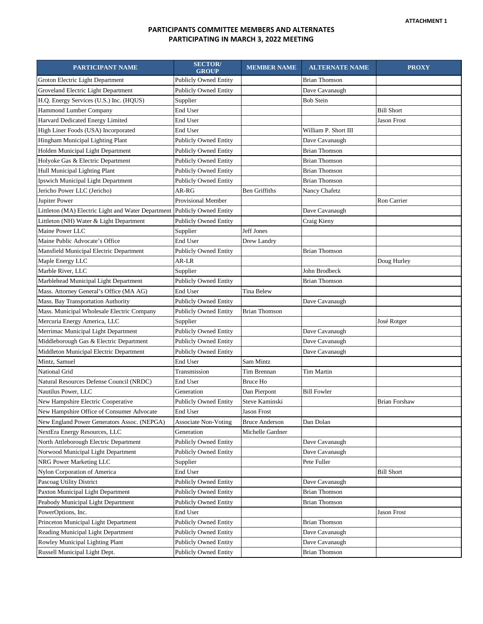### **PARTICIPANTS COMMITTEE MEMBERS AND ALTERNATES PARTICIPATING IN MARCH 3, 2022 MEETING**

| PARTICIPANT NAME                                   | <b>SECTOR/</b><br><b>GROUP</b> | <b>MEMBER NAME</b>    | <b>ALTERNATE NAME</b> | <b>PROXY</b>         |
|----------------------------------------------------|--------------------------------|-----------------------|-----------------------|----------------------|
| Groton Electric Light Department                   | <b>Publicly Owned Entity</b>   |                       | Brian Thomson         |                      |
| Groveland Electric Light Department                | <b>Publicly Owned Entity</b>   |                       | Dave Cavanaugh        |                      |
| H.Q. Energy Services (U.S.) Inc. (HQUS)            | Supplier                       |                       | <b>Bob Stein</b>      |                      |
| Hammond Lumber Company                             | End User                       |                       |                       | <b>Bill Short</b>    |
| Harvard Dedicated Energy Limited                   | End User                       |                       |                       | Jason Frost          |
| High Liner Foods (USA) Incorporated                | End User                       |                       | William P. Short III  |                      |
| Hingham Municipal Lighting Plant                   | <b>Publicly Owned Entity</b>   |                       | Dave Cavanaugh        |                      |
| Holden Municipal Light Department                  | <b>Publicly Owned Entity</b>   |                       | <b>Brian Thomson</b>  |                      |
| Holyoke Gas & Electric Department                  | <b>Publicly Owned Entity</b>   |                       | <b>Brian Thomson</b>  |                      |
| Hull Municipal Lighting Plant                      | <b>Publicly Owned Entity</b>   |                       | <b>Brian Thomson</b>  |                      |
| Ipswich Municipal Light Department                 | Publicly Owned Entity          |                       | <b>Brian Thomson</b>  |                      |
| Jericho Power LLC (Jericho)                        | AR-RG                          | Ben Griffiths         | Nancy Chafetz         |                      |
| Jupiter Power                                      | Provisional Member             |                       |                       | Ron Carrier          |
| Littleton (MA) Electric Light and Water Department | <b>Publicly Owned Entity</b>   |                       | Dave Cavanaugh        |                      |
| Littleton (NH) Water & Light Department            | <b>Publicly Owned Entity</b>   |                       | Craig Kieny           |                      |
| Maine Power LLC                                    | Supplier                       | <b>Jeff Jones</b>     |                       |                      |
| Maine Public Advocate's Office                     | End User                       | Drew Landry           |                       |                      |
| Mansfield Municipal Electric Department            | <b>Publicly Owned Entity</b>   |                       | <b>Brian Thomson</b>  |                      |
| Maple Energy LLC                                   | AR-LR                          |                       |                       | Doug Hurley          |
| Marble River, LLC                                  | Supplier                       |                       | John Brodbeck         |                      |
| Marblehead Municipal Light Department              | <b>Publicly Owned Entity</b>   |                       | Brian Thomson         |                      |
| Mass. Attorney General's Office (MA AG)            | End User                       | Tina Belew            |                       |                      |
| Mass. Bay Transportation Authority                 | <b>Publicly Owned Entity</b>   |                       | Dave Cavanaugh        |                      |
| Mass. Municipal Wholesale Electric Company         | <b>Publicly Owned Entity</b>   | <b>Brian Thomson</b>  |                       |                      |
| Mercuria Energy America, LLC                       | Supplier                       |                       |                       | José Rotger          |
| Merrimac Municipal Light Department                | <b>Publicly Owned Entity</b>   |                       | Dave Cavanaugh        |                      |
| Middleborough Gas & Electric Department            | <b>Publicly Owned Entity</b>   |                       | Dave Cavanaugh        |                      |
| Middleton Municipal Electric Department            | <b>Publicly Owned Entity</b>   |                       | Dave Cavanaugh        |                      |
| Mintz, Samuel                                      | End User                       | Sam Mintz             |                       |                      |
| National Grid                                      | Transmission                   | Tim Brennan           | Tim Martin            |                      |
| Natural Resources Defense Council (NRDC)           | End User                       | Bruce Ho              |                       |                      |
| Nautilus Power, LLC                                | Generation                     | Dan Pierpont          | <b>Bill Fowler</b>    |                      |
| New Hampshire Electric Cooperative                 | <b>Publicly Owned Entity</b>   | Steve Kaminski        |                       | <b>Brian Forshaw</b> |
| New Hampshire Office of Consumer Advocate          | End User                       | Jason Frost           |                       |                      |
| New England Power Generators Assoc. (NEPGA)        | <b>Associate Non-Voting</b>    | <b>Bruce Anderson</b> | Dan Dolan             |                      |
| NextEra Energy Resources, LLC                      | Generation                     | Michelle Gardner      |                       |                      |
| North Attleborough Electric Department             | <b>Publicly Owned Entity</b>   |                       | Dave Cavanaugh        |                      |
| Norwood Municipal Light Department                 | <b>Publicly Owned Entity</b>   |                       | Dave Cavanaugh        |                      |
| NRG Power Marketing LLC                            | Supplier                       |                       | Pete Fuller           |                      |
| Nylon Corporation of America                       | End User                       |                       |                       | <b>Bill Short</b>    |
| Pascoag Utility District                           | Publicly Owned Entity          |                       | Dave Cavanaugh        |                      |
| Paxton Municipal Light Department                  | <b>Publicly Owned Entity</b>   |                       | <b>Brian Thomson</b>  |                      |
| Peabody Municipal Light Department                 | <b>Publicly Owned Entity</b>   |                       | <b>Brian Thomson</b>  |                      |
| PowerOptions, Inc.                                 | End User                       |                       |                       | Jason Frost          |
| Princeton Municipal Light Department               | Publicly Owned Entity          |                       | <b>Brian Thomson</b>  |                      |
| Reading Municipal Light Department                 | <b>Publicly Owned Entity</b>   |                       | Dave Cavanaugh        |                      |
| Rowley Municipal Lighting Plant                    | <b>Publicly Owned Entity</b>   |                       | Dave Cavanaugh        |                      |
| Russell Municipal Light Dept.                      | <b>Publicly Owned Entity</b>   |                       | <b>Brian Thomson</b>  |                      |